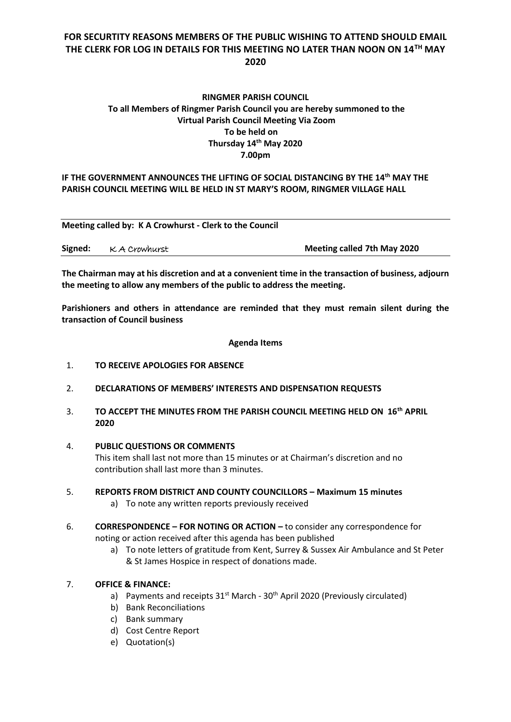# **FOR SECURTITY REASONS MEMBERS OF THE PUBLIC WISHING TO ATTEND SHOULD EMAIL THE CLERK FOR LOG IN DETAILS FOR THIS MEETING NO LATER THAN NOON ON 14TH MAY 2020**

## **RINGMER PARISH COUNCIL To all Members of Ringmer Parish Council you are hereby summoned to the Virtual Parish Council Meeting Via Zoom To be held on Thursday 14th May 2020 7.00pm**

### **IF THE GOVERNMENT ANNOUNCES THE LIFTING OF SOCIAL DISTANCING BY THE 14th MAY THE PARISH COUNCIL MEETING WILL BE HELD IN ST MARY'S ROOM, RINGMER VILLAGE HALL**

| Meeting called by: K A Crowhurst - Clerk to the Council |  |
|---------------------------------------------------------|--|
|                                                         |  |

| Signed:<br>K A Crowhurst | <b>Meeting called 7th May 2020</b> |
|--------------------------|------------------------------------|
|--------------------------|------------------------------------|

**The Chairman may at his discretion and at a convenient time in the transaction of business, adjourn the meeting to allow any members of the public to address the meeting.**

**Parishioners and others in attendance are reminded that they must remain silent during the transaction of Council business**

**Agenda Items**

- 1. **TO RECEIVE APOLOGIES FOR ABSENCE**
- 2. **DECLARATIONS OF MEMBERS' INTERESTS AND DISPENSATION REQUESTS**
- 3. **TO ACCEPT THE MINUTES FROM THE PARISH COUNCIL MEETING HELD ON 16th APRIL 2020**
- 4. **PUBLIC QUESTIONS OR COMMENTS**  This item shall last not more than 15 minutes or at Chairman's discretion and no contribution shall last more than 3 minutes.
- 5. **REPORTS FROM DISTRICT AND COUNTY COUNCILLORS – Maximum 15 minutes** a) To note any written reports previously received
- 6. **CORRESPONDENCE – FOR NOTING OR ACTION –** to consider any correspondence for noting or action received after this agenda has been published
	- a) To note letters of gratitude from Kent, Surrey & Sussex Air Ambulance and St Peter & St James Hospice in respect of donations made.

## 7. **OFFICE & FINANCE:**

- a) Payments and receipts  $31<sup>st</sup>$  March  $30<sup>th</sup>$  April 2020 (Previously circulated)
- b) Bank Reconciliations
- c) Bank summary
- d) Cost Centre Report
- e) Quotation(s)